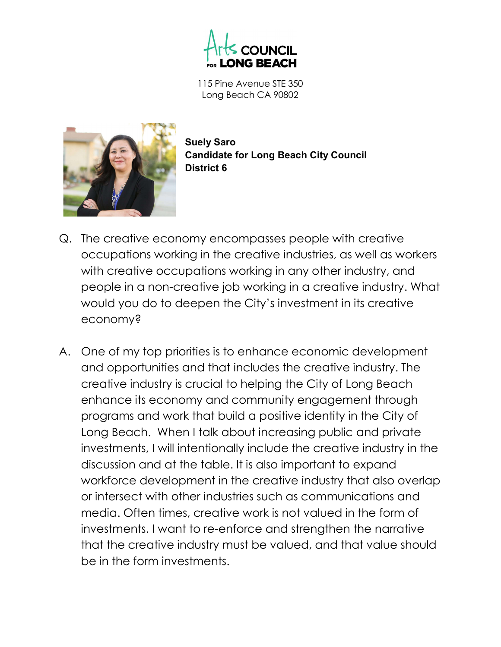

115 Pine Avenue STE 350 Long Beach CA 90802



Suely Saro Candidate for Long Beach City Council District 6

- Q. The creative economy encompasses people with creative occupations working in the creative industries, as well as workers with creative occupations working in any other industry, and people in a non-creative job working in a creative industry. What would you do to deepen the City's investment in its creative economy?
- A. One of my top priorities is to enhance economic development and opportunities and that includes the creative industry. The creative industry is crucial to helping the City of Long Beach enhance its economy and community engagement through programs and work that build a positive identity in the City of Long Beach. When I talk about increasing public and private investments, I will intentionally include the creative industry in the discussion and at the table. It is also important to expand workforce development in the creative industry that also overlap or intersect with other industries such as communications and media. Often times, creative work is not valued in the form of investments. I want to re-enforce and strengthen the narrative that the creative industry must be valued, and that value should be in the form investments.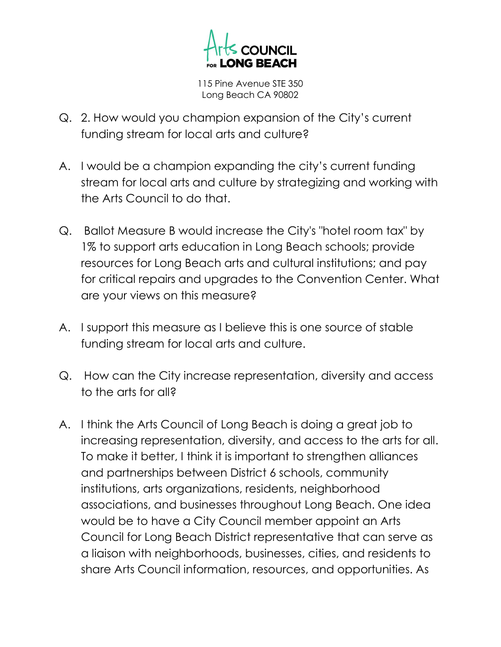

115 Pine Avenue STE 350 Long Beach CA 90802

- Q. 2. How would you champion expansion of the City's current funding stream for local arts and culture?
- A. I would be a champion expanding the city's current funding stream for local arts and culture by strategizing and working with the Arts Council to do that.
- Q. Ballot Measure B would increase the City's "hotel room tax" by 1% to support arts education in Long Beach schools; provide resources for Long Beach arts and cultural institutions; and pay for critical repairs and upgrades to the Convention Center. What are your views on this measure?
- A. I support this measure as I believe this is one source of stable funding stream for local arts and culture.
- Q. How can the City increase representation, diversity and access to the arts for all?
- A. I think the Arts Council of Long Beach is doing a great job to increasing representation, diversity, and access to the arts for all. To make it better, I think it is important to strengthen alliances and partnerships between District 6 schools, community institutions, arts organizations, residents, neighborhood associations, and businesses throughout Long Beach. One idea would be to have a City Council member appoint an Arts Council for Long Beach District representative that can serve as a liaison with neighborhoods, businesses, cities, and residents to share Arts Council information, resources, and opportunities. As